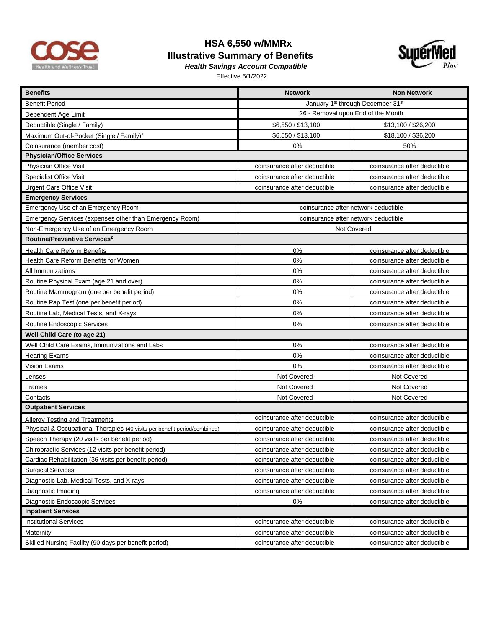

## **HSA 6,550 w/MMRx Illustrative Summary of Benefits**



*Health Savings Account Compatible*  Effective 5/1/2022

| <b>Benefits</b>                                                           | <b>Network</b>                       | <b>Non Network</b>           |  |
|---------------------------------------------------------------------------|--------------------------------------|------------------------------|--|
| Benefit Period                                                            | January 1st through December 31st    |                              |  |
| Dependent Age Limit                                                       | 26 - Removal upon End of the Month   |                              |  |
| Deductible (Single / Family)                                              | \$6,550 / \$13,100                   | \$13,100 / \$26,200          |  |
| Maximum Out-of-Pocket (Single / Family) <sup>1</sup>                      | \$6,550 / \$13,100                   | \$18,100 / \$36,200          |  |
| Coinsurance (member cost)                                                 | 0%                                   | 50%                          |  |
| <b>Physician/Office Services</b>                                          |                                      |                              |  |
| Physician Office Visit                                                    | coinsurance after deductible         | coinsurance after deductible |  |
| <b>Specialist Office Visit</b>                                            | coinsurance after deductible         | coinsurance after deductible |  |
| <b>Urgent Care Office Visit</b>                                           | coinsurance after deductible         | coinsurance after deductible |  |
| <b>Emergency Services</b>                                                 |                                      |                              |  |
| Emergency Use of an Emergency Room                                        | coinsurance after network deductible |                              |  |
| Emergency Services (expenses other than Emergency Room)                   | coinsurance after network deductible |                              |  |
| Non-Emergency Use of an Emergency Room                                    | Not Covered                          |                              |  |
| Routine/Preventive Services <sup>2</sup>                                  |                                      |                              |  |
| Health Care Reform Benefits                                               | 0%                                   | coinsurance after deductible |  |
| Health Care Reform Benefits for Women                                     | 0%                                   | coinsurance after deductible |  |
| All Immunizations                                                         | 0%                                   | coinsurance after deductible |  |
| Routine Physical Exam (age 21 and over)                                   | 0%                                   | coinsurance after deductible |  |
| Routine Mammogram (one per benefit period)                                | 0%                                   | coinsurance after deductible |  |
| Routine Pap Test (one per benefit period)                                 | 0%                                   | coinsurance after deductible |  |
| Routine Lab, Medical Tests, and X-rays                                    | 0%                                   | coinsurance after deductible |  |
| Routine Endoscopic Services                                               | 0%                                   | coinsurance after deductible |  |
| Well Child Care (to age 21)                                               |                                      |                              |  |
| Well Child Care Exams, Immunizations and Labs                             | 0%                                   | coinsurance after deductible |  |
| <b>Hearing Exams</b>                                                      | 0%                                   | coinsurance after deductible |  |
| Vision Exams                                                              | 0%                                   | coinsurance after deductible |  |
| Lenses                                                                    | Not Covered                          | Not Covered                  |  |
| Frames                                                                    | Not Covered                          | Not Covered                  |  |
| Contacts                                                                  | Not Covered                          | Not Covered                  |  |
| <b>Outpatient Services</b>                                                |                                      |                              |  |
| Allergy Testing and Treatments                                            | coinsurance after deductible         | coinsurance after deductible |  |
| Physical & Occupational Therapies (40 visits per benefit period/combined) | coinsurance after deductible         | coinsurance after deductible |  |
| Speech Therapy (20 visits per benefit period)                             | coinsurance after deductible         | coinsurance after deductible |  |
| Chiropractic Services (12 visits per benefit period)                      | coinsurance after deductible         | coinsurance after deductible |  |
| Cardiac Rehabilitation (36 visits per benefit period)                     | coinsurance after deductible         | coinsurance after deductible |  |
| <b>Surgical Services</b>                                                  | coinsurance after deductible         | coinsurance after deductible |  |
| Diagnostic Lab, Medical Tests, and X-rays                                 | coinsurance after deductible         | coinsurance after deductible |  |
| Diagnostic Imaging                                                        | coinsurance after deductible         | coinsurance after deductible |  |
| Diagnostic Endoscopic Services                                            | 0%                                   | coinsurance after deductible |  |
| <b>Inpatient Services</b>                                                 |                                      |                              |  |
| <b>Institutional Services</b>                                             | coinsurance after deductible         | coinsurance after deductible |  |
| Maternity                                                                 | coinsurance after deductible         | coinsurance after deductible |  |
| Skilled Nursing Facility (90 days per benefit period)                     | coinsurance after deductible         | coinsurance after deductible |  |